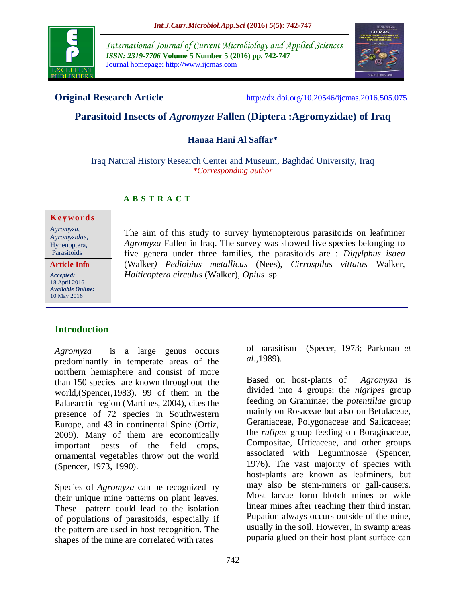

*International Journal of Current Microbiology and Applied Sciences ISSN: 2319-7706* **Volume 5 Number 5 (2016) pp. 742-747** Journal homepage: http://www.ijcmas.com



**Original Research Article** <http://dx.doi.org/10.20546/ijcmas.2016.505.075>

# **Parasitoid Insects of** *Agromyza* **Fallen (Diptera :Agromyzidae) of Iraq**

### **Hanaa Hani Al Saffar\***

Iraq Natural History Research Center and Museum, Baghdad University, Iraq *\*Corresponding author*

# **A B S T R A C T**

#### **K ey w o rd s**

*Agromyza, Agromyzidae*, Hynenoptera, Parasitoids

**Article Info**

*Accepted:*  18 April 2016 *Available Online:* 10 May 2016

# **Introduction**

*Agromyza* is a large genus occurs predominantly in temperate areas of the northern hemisphere and consist of more than 150 species are known throughout the world,(Spencer,1983). 99 of them in the Palaearctic region (Martines, 2004), cites the presence of 72 species in Southwestern Europe, and 43 in continental Spine (Ortiz, 2009). Many of them are economically important pests of the field crops, ornamental vegetables throw out the world (Spencer, 1973, 1990).

Species of *Agromyza* can be recognized by their unique mine patterns on plant leaves. These pattern could lead to the isolation of populations of parasitoids, especially if the pattern are used in host recognition. The shapes of the mine are correlated with rates

The aim of this study to survey hymenopterous parasitoids on leafminer *Agromyza* Fallen in Iraq. The survey was showed five species belonging to five genera under three families, the parasitoids are : *Digylphus isaea*  (Walker*) Pediobius metallicus* (Nees), *Cirrospilus vittatus* Walker, *Halticoptera circulus* (Walker), *Opius* sp.

> of parasitism (Specer, 1973; Parkman *et al*.,1989).

> Based on host-plants of *Agromyza* is divided into 4 groups: the *nigripes* group feeding on Graminae; the *potentillae* group mainly on Rosaceae but also on Betulaceae, Geraniaceae, Polygonaceae and Salicaceae; the *rufipes* group feeding on Boraginaceae, Compositae, Urticaceae, and other groups associated with Leguminosae (Spencer, 1976). The vast majority of species with host-plants are known as leafminers, but may also be stem-miners or gall-causers. Most larvae form blotch mines or wide linear mines after reaching their third instar. Pupation always occurs outside of the mine, usually in the soil. However, in swamp areas puparia glued on their host plant surface can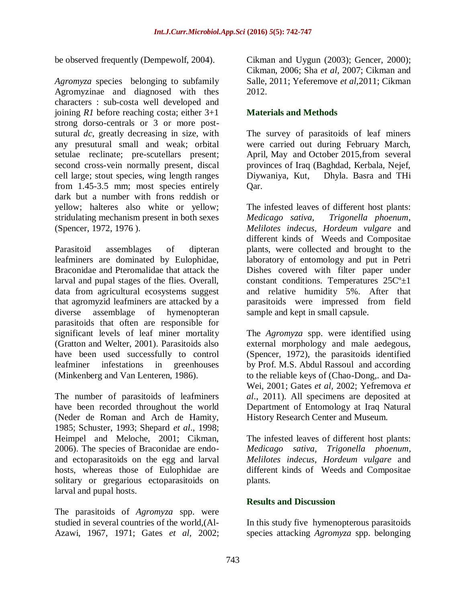be observed frequently (Dempewolf, 2004).

*Agromyza* species belonging to subfamily Agromyzinae and diagnosed with thes characters : sub-costa well developed and joining *R1* before reaching costa; either 3+1 strong dorso-centrals or 3 or more postsutural *dc*, greatly decreasing in size, with any presutural small and weak; orbital setulae reclinate; pre-scutellars present; second cross-vein normally present, discal cell large; stout species, wing length ranges from 1.45-3.5 mm; most species entirely dark but a number with frons reddish or yellow; halteres also white or yellow; stridulating mechanism present in both sexes (Spencer, 1972, 1976 ).

Parasitoid assemblages of dipteran leafminers are dominated by Eulophidae, Braconidae and Pteromalidae that attack the larval and pupal stages of the flies. Overall, data from agricultural ecosystems suggest that agromyzid leafminers are attacked by a diverse assemblage of hymenopteran parasitoids that often are responsible for significant levels of leaf miner mortality (Gratton and Welter, 2001). Parasitoids also have been used successfully to control leafminer infestations in greenhouses (Minkenberg and Van Lenteren, 1986).

The number of parasitoids of leafminers have been recorded throughout the world (Neder de Roman and Arch de Hamity, 1985; Schuster, 1993; Shepard *et al*., 1998; Heimpel and Meloche, 2001; Cikman, 2006). The species of Braconidae are endoand ectoparasitoids on the egg and larval hosts, whereas those of Eulophidae are solitary or gregarious ectoparasitoids on larval and pupal hosts.

The parasitoids of *Agromyza* spp. were studied in several countries of the world,(Al-Azawi, 1967, 1971; Gates *et al,* 2002;

Cikman and Uygun (2003); Gencer, 2000); Cikman, 2006; Sha *et al,* 2007; Cikman and Salle, 2011; Yeferemove *et al*,2011; Cikman 2012.

#### **Materials and Methods**

The survey of parasitoids of leaf miners were carried out during February March, April, May and October 2015,from several provinces of Iraq (Baghdad, Kerbala, Nejef, Diywaniya, Kut, Dhyla. Basra and THi Qar.

The infested leaves of different host plants: *Medicago sativa, Trigonella phoenum*, *Melilotes indecus, Hordeum vulgare* and different kinds of Weeds and Compositae plants, were collected and brought to the laboratory of entomology and put in Petri Dishes covered with filter paper under constant conditions. Temperatures  $25C^{\circ}+1$ and relative humidity 5%. After that parasitoids were impressed from field sample and kept in small capsule.

The *Agromyza* spp. were identified using external morphology and male aedegous, (Spencer, 1972), the parasitoids identified by Prof. M.S. Abdul Rassoul and according to the reliable keys of (Chao-Dong,. and Da-Wei, 2001; Gates *et al,* 2002; Yefremova *et al*., 2011). All specimens are deposited at Department of Entomology at Iraq Natural History Research Center and Museum.

The infested leaves of different host plants: *Medicago sativa, Trigonella phoenum, Melilotes indecus, Hordeum vulgare* and different kinds of Weeds and Compositae plants.

#### **Results and Discussion**

In this study five hymenopterous parasitoids species attacking *Agromyza* spp. belonging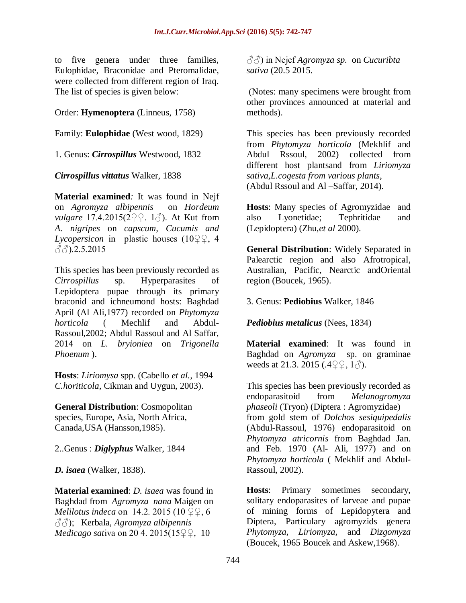to five genera under three families, Eulophidae, Braconidae and Pteromalidae, were collected from different region of Iraq. The list of species is given below:

# Order: **Hymenoptera** (Linneus, 1758)

Family: **Eulophidae** (West wood, 1829)

1. Genus: *Cirrospillus* Westwood, 1832

*Cirrospillus vittatus* Walker, 1838

**Material examined***:* It was found in Nejf on *Agromyza albipennis* on *Hordeum vulgare* 17.4.2015(2♀♀. 1♂). At Kut from *A. nigripes* on *capscum, Cucumis and Lycopersicon* in plastic houses (10♀♀, 4  $\langle \langle \cdot \rangle$ .2.5.2015

This species has been previously recorded as *Cirrospillus* sp. Hyperparasites of Lepidoptera pupae through its primary braconid and ichneumond hosts: Baghdad April (Al Ali,1977) recorded on *Phytomyza horticola* ( Mechlif and Abdul-Rassoul,2002; Abdul Rassoul and Al Saffar, 2014 on *L. bryioniea* on *Trigonella Phoenum* ).

**Hosts**: *Liriomysa* spp. (Cabello *et al.,* 1994 *C.horiticola,* Cikman and Uygun, 2003).

**General Distribution**: Cosmopolitan species, Europe, Asia, North Africa, Canada,USA (Hansson,1985).

2..Genus : *Diglyphus* Walker, 1844

*D. isaea* (Walker, 1838).

**Material examined**: *D. isaea* was found in Baghdad from *Agromyza nana* Maigen on *Melilotus indeca* on 14.2, 2015 (10 ♀♀, 6 ♂♂); Kerbala, *Agromyza albipennis Medicago sativa* on 20 4, 2015(15 <del>♀</del>, 10

♂♂) in Nejef *Agromyza sp.* on *Cucuribta sativa* (20.5 2015.

(Notes: many specimens were brought from other provinces announced at material and methods).

This species has been previously recorded from *Phytomyza horticola* (Mekhlif and Abdul Rssoul, 2002) collected from different host plantsand from *Liriomyza sativa,L.cogesta from various plants*, (Abdul Rssoul and Al –Saffar, 2014).

**Hosts**: Many species of Agromyzidae and also Lyonetidae; Tephritidae and (Lepidoptera) (Zhu,*et al* 2000).

**General Distribution**: Widely Separated in Palearctic region and also Afrotropical, Australian, Pacific, Nearctic andOriental region (Boucek, 1965).

3. Genus: **Pediobius** Walker, 1846

*Pediobius metalicus* (Nees, 1834)

**Material examined**: It was found in Baghdad on *Agromyza* sp. on graminae weeds at 21.3. 2015 (*.*4♀♀, 1♂).

This species has been previously recorded as endoparasitoid from *Melanogromyza phaseoli* (Tryon) (Diptera : Agromyzidae) from gold stem of *Dolchos sesiquipedalis*  (Abdul-Rassoul, 1976) endoparasitoid on *Phytomyza atricornis* from Baghdad Jan. and Feb. 1970 (Al- Ali, 1977) and on *Phytomyza horticola* ( Mekhlif and Abdul-Rassoul, 2002).

**Hosts**: Primary sometimes secondary, solitary endoparasites of larveae and pupae of mining forms of Lepidopytera and Diptera, Particulary agromyzids genera *Phytomyza, Liriomyza,* and *Dizgomyza*  (Boucek, 1965 Boucek and Askew,1968).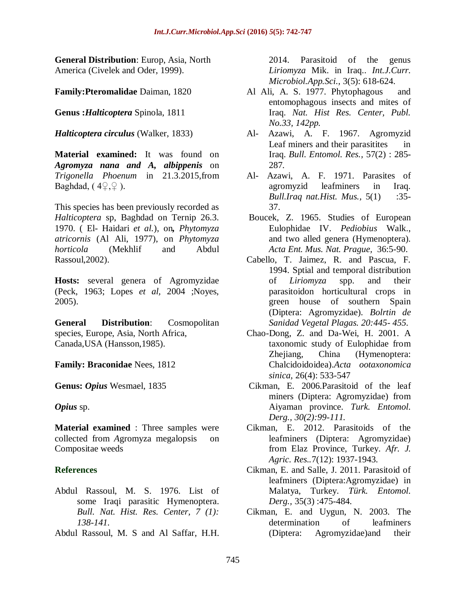**General Distribution**: Europ, Asia, North America (Civelek and Oder, 1999).

**Family:Pteromalidae** Daiman, 1820

**Genus :***Halticoptera* Spinola, 1811

*Halticoptera circulus* (Walker, 1833)

**Material examined:** It was found on *Agromyza nana and A, albippenis* on *Trigonella Phoenum* in 21.3.2015,from Baghdad,  $(4Q, Q)$ .

This species has been previously recorded as *Halticoptera* sp, Baghdad on Ternip 26.3. 1970. ( El- Haidari *et al.*), on*, Phytomyza atricornis* (Al Ali, 1977), on *Phytomyza horticola* (Mekhlif and Abdul Rassoul,2002).

**Hosts:** several genera of Agromyzidae (Peck, 1963; Lopes *et al,* 2004 ;Noyes, 2005).

**General Distribution**: Cosmopolitan species, Europe, Asia, North Africa, Canada,USA (Hansson,1985).

**Family: Braconidae** Nees, 1812

**Genus:** *Opius* Wesmael, 1835

*Opius* sp.

**Material examined** : Three samples were collected from *A*gromyza megalopsis on Compositae weeds

#### **References**

- Abdul Rassoul, M. S. 1976. List of some Iraqi parasitic Hymenoptera. *Bull. Nat. Hist. Res. Center, 7 (1): 138-141.*
- Abdul Rassoul, M. S and Al Saffar, H.H.

2014. Parasitoid of the genus *Liriomyza* Mik. in Iraq.. *Int.J.Curr. Microbiol.App.Sci.,* 3(5): 618-624.

- Al Ali, A. S. 1977. Phytophagous and entomophagous insects and mites of Iraq. *Nat. Hist Res. Center, Publ. No.33, 142pp.*
- Al- Azawi, A. F. 1967. Agromyzid Leaf miners and their parasitites in Iraq. *Bull. Entomol. Res.,* 57(2) : 285- 287*.*
- Al- Azawi, A. F. 1971. Parasites of agromyzid leafminers in Iraq. *Bull.Iraq nat.Hist. Mus.,* 5(1) :35- 37.
- Boucek, Z. 1965. Studies of European Eulophidae IV. *Pediobius* Walk., and two alled genera (Hymenoptera). *Acta Ent. Mus. Nat. Prague,* 36:5-90.
- Cabello, T. Jaimez, R. and Pascua, F. 1994. Sptial and temporal distribution of *Liriomyza* spp. and their parasitoidon horticultural crops in green house of southern Spain (Diptera: Agromyzidae). *Bolrtin de Sanidad Vegetal Plagas. 20:445- 455.*
- Chao-Dong, Z. and Da-Wei, H. 2001. A taxonomic study of Eulophidae from Zhejiang, China (Hymenoptera: Chalcidoidoidea).*Acta ootaxonomica sinica,* 26(4): 533-547
- Cikman, E*.* 2006.Parasitoid of the leaf miners (Diptera: Agromyzidae) from Aiyaman province. *Turk. Entomol. Derg., 30(2):99-111.*
- Cikman, E. 2012. Parasitoids of the leafminers (Diptera: Agromyzidae) from Elaz Province, Turkey. *Afr. J. Agric. Res..*7(12): 1937-1943.
- Cikman, E. and Salle, J. 2011. Parasitoid of leafminers (Diptera:Agromyzidae) in Malatya, Turkey. *Türk. Entomol. Derg.,* 35(3) :475-484.
- Cikman, E*.* and Uygun, N. 2003. The determination of leafminers (Diptera: Agromyzidae)and their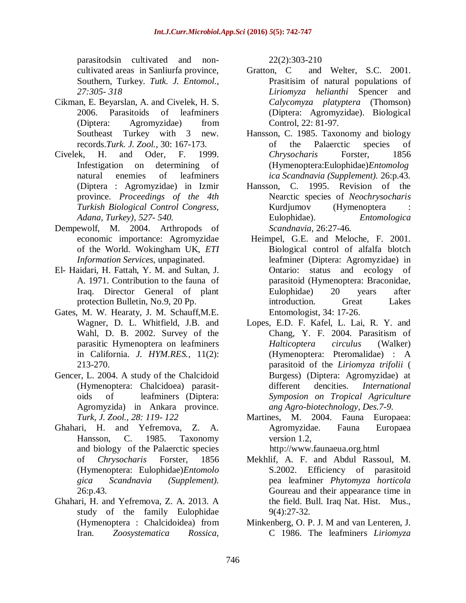parasitodsin cultivated and noncultivated areas in Sanliurfa province, Southern, Turkey. *Tutk. J. Entomol., 27:305- 318*

- Cikman, E*.* Beyarslan, A. and Civelek, H. S. 2006. Parasitoids of leafminers (Diptera: Agromyzidae) from Southeast Turkey with 3 new. records.*Turk. J. Zool.,* 30: 167-173.
- Civelek, H. and Oder, F. 1999. Infestigation on determining of natural enemies of leafminers (Diptera : Agromyzidae) in Izmir province. *Proceedings of the 4th Turkish Biological Control Congress, Adana, Turkey)*, *527- 540.*
- Dempewolf, M. 2004. Arthropods of economic importance: Agromyzidae of the World. Wokingham UK, *ETI Information Services*, unpaginated.
- El- Haidari, H. Fattah, Y. M. and Sultan, J. A. 1971. Contribution to the fauna of Iraq. Director General of plant protection Bulletin, No.9, 20 Pp.
- Gates, M. W. Hearaty, J. M. Schauff,M.E. Wagner, D. L. Whitfield, J.B. and Wahl, D. B. 2002. Survey of the parasitic Hymenoptera on leafminers in California. *J. HYM.RES.,* 11(2): 213-270.
- Gencer, L. 2004. A study of the Chalcidoid (Hymenoptera: Chalcidoea) parasitoids of leafminers (Diptera: Agromyzida) in Ankara province. *Turk, J. Zool., 28: 119- 122*
- Ghahari, H. and Yefremova, Z. A. Hansson, C. 1985. Taxonomy and biology of the Palaerctic species of *Chrysocharis* Forster, 1856 (Hymenoptera: Eulophidae)*Entomolo gica Scandnavia (Supplement).*  26:p.43*.*
- Ghahari, H. and Yefremova, Z. A. 2013. A study of the family Eulophidae (Hymenoptera : Chalcidoidea) from Iran. *Zoosystematica Rossica,*

22(2):303-210

- Gratton, C and Welter, S.C. 2001. Prasitisim of natural populations of *Liriomyza helianthi* Spencer and *Calycomyza platyptera* (Thomson) (Diptera: Agromyzidae). Biological Control, 22: 81-97.
- Hansson, C. 1985. Taxonomy and biology of the Palaerctic species of *Chrysocharis* Forster, 1856 (Hymenoptera:Eulophidae)*Entomolog ica Scandnavia (Supplement).* 26:p.43*.*
- Hansson, C. 1995. Revision of the Nearctic species of *Neochrysocharis*  Kurdjumov (Hymenoptera Eulophidae). *Entomologica Scandnavia*, 26:27-46.
- Heimpel, G.E. and Meloche, F. 2001. Biological control of alfalfa blotch leafminer (Diptera: Agromyzidae) in Ontario: status and ecology of parasitoid (Hymenoptera: Braconidae, Eulophidae) 20 years after introduction. Great Lakes Entomologist, 34: 17-26.
- Lopes, E.D. F. Kafel, L. Lai, R. Y. and Chang, Y. F. 2004. Parasitism of *Halticoptera circulus* (Walker) (Hymenoptera: Pteromalidae) : A parasitoid of the *Liriomyza trifolii* ( Burgess) (Diptera: Agromyzidae) at different dencities. *International Symposion on Tropical Agriculture ang Agro-biotechnology, Des.7-9.*
- Martines, M. 2004. Fauna Europaea: Agromyzidae. Fauna Europaea version 1.2,

[http://www.faunaeua.org.html](http://www.faunaeua.org.html/)

- Mekhlif, A. F. and Abdul Rassoul, M. S.2002. Efficiency of parasitoid pea leafminer *Phytomyza horticola* Goureau and their appearance time in the field. Bull. Iraq Nat. Hist. Mus., 9(4):27-32.
- Minkenberg, O. P. J. M and van Lenteren, J. C 1986. The leafminers *Liriomyza*